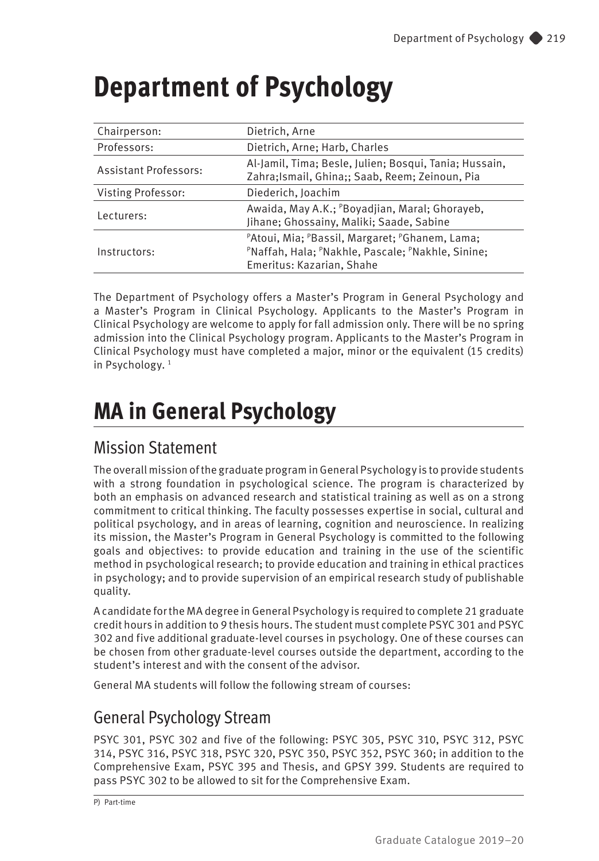# **Department of Psychology**

| Chairperson:                 | Dietrich, Arne                                                                                                                   |  |
|------------------------------|----------------------------------------------------------------------------------------------------------------------------------|--|
| Professors:                  | Dietrich, Arne; Harb, Charles                                                                                                    |  |
| <b>Assistant Professors:</b> | Al-Jamil, Tima; Besle, Julien; Bosqui, Tania; Hussain,<br>Zahra; Ismail, Ghina;; Saab, Reem; Zeinoun, Pia                        |  |
| Visting Professor:           | Diederich, Joachim                                                                                                               |  |
| Lecturers:                   | Awaida, May A.K.; PBoyadjian, Maral; Ghorayeb,<br>Jihane; Ghossainy, Maliki; Saade, Sabine                                       |  |
| Instructors:                 | PAtoui, Mia; PBassil, Margaret; PGhanem, Lama;<br>PNaffah, Hala; PNakhle, Pascale; PNakhle, Sinine;<br>Emeritus: Kazarian, Shahe |  |

The Department of Psychology offers a Master's Program in General Psychology and a Master's Program in Clinical Psychology. Applicants to the Master's Program in Clinical Psychology are welcome to apply for fall admission only. There will be no spring admission into the Clinical Psychology program. Applicants to the Master's Program in Clinical Psychology must have completed a major, minor or the equivalent (15 credits) in Psychology.<sup>1</sup>

# **MA in General Psychology**

## Mission Statement

The overall mission of the graduate program in General Psychology is to provide students with a strong foundation in psychological science. The program is characterized by both an emphasis on advanced research and statistical training as well as on a strong commitment to critical thinking. The faculty possesses expertise in social, cultural and political psychology, and in areas of learning, cognition and neuroscience. In realizing its mission, the Master's Program in General Psychology is committed to the following goals and objectives: to provide education and training in the use of the scientific method in psychological research; to provide education and training in ethical practices in psychology; and to provide supervision of an empirical research study of publishable quality.

A candidate for the MA degree in General Psychology is required to complete 21 graduate credit hours in addition to 9 thesis hours. The student must complete PSYC 301 and PSYC 302 and five additional graduate-level courses in psychology. One of these courses can be chosen from other graduate-level courses outside the department, according to the student's interest and with the consent of the advisor.

General MA students will follow the following stream of courses:

# General Psychology Stream

PSYC 301, PSYC 302 and five of the following: PSYC 305, PSYC 310, PSYC 312, PSYC 314, PSYC 316, PSYC 318, PSYC 320, PSYC 350, PSYC 352, PSYC 360; in addition to the Comprehensive Exam, PSYC 395 and Thesis, and GPSY 399. Students are required to pass PSYC 302 to be allowed to sit for the Comprehensive Exam.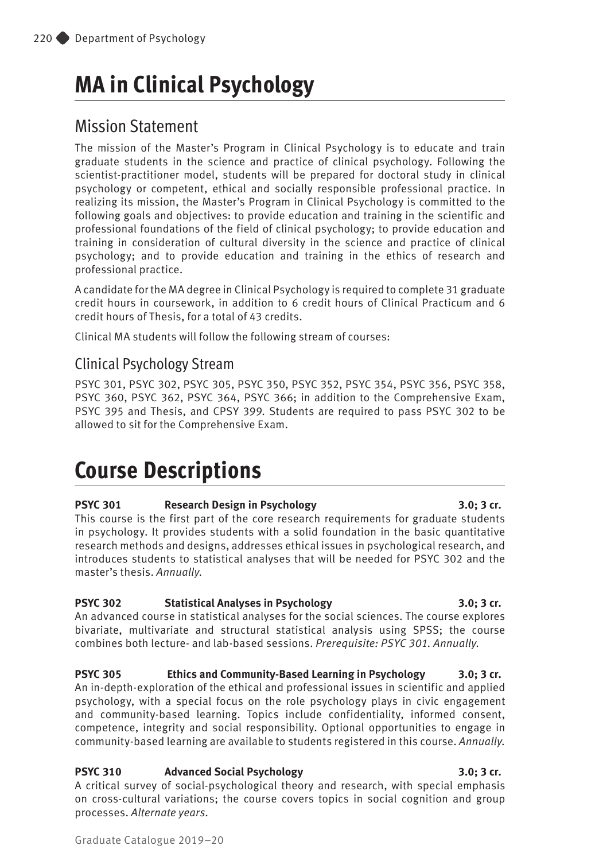# **MA in Clinical Psychology**

## Mission Statement

The mission of the Master's Program in Clinical Psychology is to educate and train graduate students in the science and practice of clinical psychology. Following the scientist-practitioner model, students will be prepared for doctoral study in clinical psychology or competent, ethical and socially responsible professional practice. In realizing its mission, the Master's Program in Clinical Psychology is committed to the following goals and objectives: to provide education and training in the scientific and professional foundations of the field of clinical psychology; to provide education and training in consideration of cultural diversity in the science and practice of clinical psychology; and to provide education and training in the ethics of research and professional practice.

A candidate for the MA degree in Clinical Psychology is required to complete 31 graduate credit hours in coursework, in addition to 6 credit hours of Clinical Practicum and 6 credit hours of Thesis, for a total of 43 credits.

Clinical MA students will follow the following stream of courses:

## Clinical Psychology Stream

PSYC 301, PSYC 302, PSYC 305, PSYC 350, PSYC 352, PSYC 354, PSYC 356, PSYC 358, PSYC 360, PSYC 362, PSYC 364, PSYC 366; in addition to the Comprehensive Exam, PSYC 395 and Thesis, and CPSY 399. Students are required to pass PSYC 302 to be allowed to sit for the Comprehensive Exam.

# **Course Descriptions**

### **PSYC 301 Research Design in Psychology 3.0; 3 cr.**

This course is the first part of the core research requirements for graduate students in psychology. It provides students with a solid foundation in the basic quantitative research methods and designs, addresses ethical issues in psychological research, and introduces students to statistical analyses that will be needed for PSYC 302 and the master's thesis. *Annually.*

### **PSYC 302 Statistical Analyses in Psychology 3.0; 3 cr.**

An advanced course in statistical analyses for the social sciences. The course explores bivariate, multivariate and structural statistical analysis using SPSS; the course combines both lecture- and lab-based sessions. *Prerequisite: PSYC 301. Annually.*

**PSYC 305 Ethics and Community-Based Learning in Psychology 3.0; 3 cr.**  An in-depth-exploration of the ethical and professional issues in scientific and applied psychology, with a special focus on the role psychology plays in civic engagement and community-based learning. Topics include confidentiality, informed consent, competence, integrity and social responsibility. Optional opportunities to engage in community-based learning are available to students registered in this course. *Annually.*

### **PSYC 310 Advanced Social Psychology 3.0; 3 cr.**

A critical survey of social-psychological theory and research, with special emphasis on cross-cultural variations; the course covers topics in social cognition and group processes. *Alternate years.*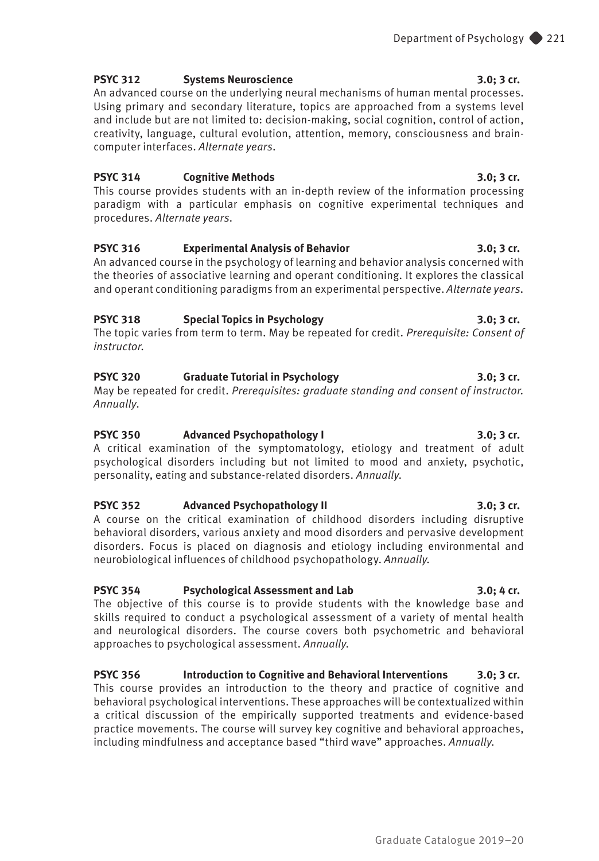### **PSYC 312 Systems Neuroscience** 3.0; 3 cr.

An advanced course on the underlying neural mechanisms of human mental processes. Using primary and secondary literature, topics are approached from a systems level and include but are not limited to: decision-making, social cognition, control of action, creativity, language, cultural evolution, attention, memory, consciousness and braincomputer interfaces. *Alternate years.*

#### **PSYC 314 Cognitive Methods 3.0; 3 cr.**

This course provides students with an in-depth review of the information processing paradigm with a particular emphasis on cognitive experimental techniques and procedures. *Alternate years.*

### **PSYC 316 Experimental Analysis of Behavior 3.0; 3 cr.**

An advanced course in the psychology of learning and behavior analysis concerned with the theories of associative learning and operant conditioning. It explores the classical and operant conditioning paradigms from an experimental perspective. *Alternate years.*

### **PSYC 318 Special Topics in Psychology 3.0; 3 cr.**

The topic varies from term to term. May be repeated for credit. *Prerequisite: Consent of instructor.*

### **PSYC 320 Graduate Tutorial in Psychology 3.0; 3 cr.**

May be repeated for credit. *Prerequisites: graduate standing and consent of instructor. Annually*.

### **PSYC 350 Advanced Psychopathology I 3.0; 3 cr.**

A critical examination of the symptomatology, etiology and treatment of adult psychological disorders including but not limited to mood and anxiety, psychotic, personality, eating and substance-related disorders. *Annually.*

### **PSYC 352 Advanced Psychopathology II 3.0; 3 cr.**

A course on the critical examination of childhood disorders including disruptive behavioral disorders, various anxiety and mood disorders and pervasive development disorders. Focus is placed on diagnosis and etiology including environmental and neurobiological influences of childhood psychopathology. *Annually.*

### **PSYC 354 Psychological Assessment and Lab 3.0; 4 cr.**

The objective of this course is to provide students with the knowledge base and skills required to conduct a psychological assessment of a variety of mental health and neurological disorders. The course covers both psychometric and behavioral approaches to psychological assessment. *Annually.* 

**PSYC 356 Introduction to Cognitive and Behavioral Interventions 3.0; 3 cr.** This course provides an introduction to the theory and practice of cognitive and behavioral psychological interventions. These approaches will be contextualized within a critical discussion of the empirically supported treatments and evidence-based practice movements. The course will survey key cognitive and behavioral approaches, including mindfulness and acceptance based "third wave" approaches. *Annually.*